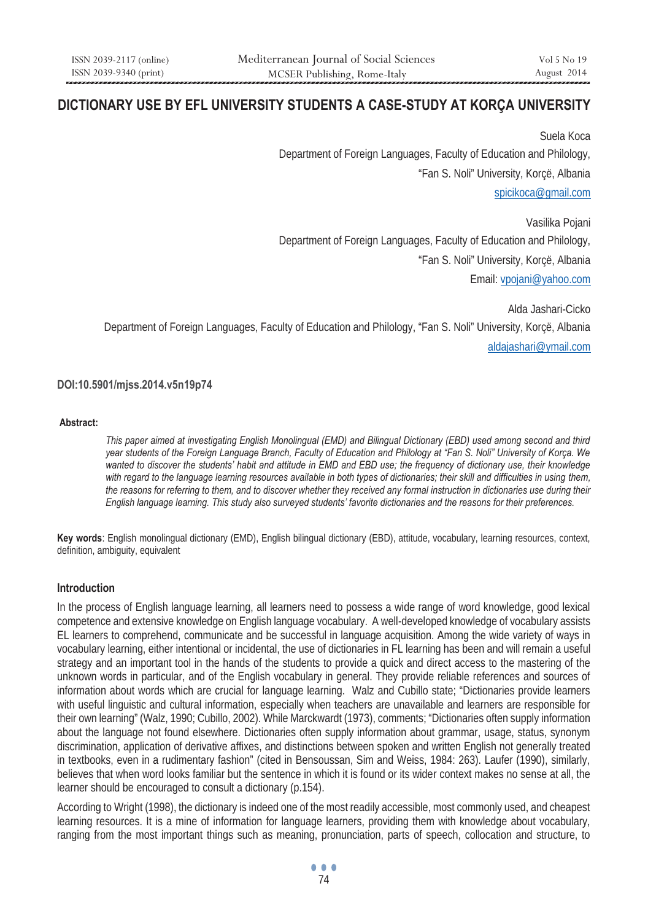# **DICTIONARY USE BY EFL UNIVERSITY STUDENTS A CASE-STUDY AT KORÇA UNIVERSITY**

Suela Koca Department of Foreign Languages, Faculty of Education and Philology, "Fan S. Noli" University, Korçë, Albania spicikoca@gmail.com

Vasilika Pojani Department of Foreign Languages, Faculty of Education and Philology, "Fan S. Noli" University, Korçë, Albania Email: vpojani@yahoo.com

Alda Jashari-Cicko Department of Foreign Languages, Faculty of Education and Philology, "Fan S. Noli" University, Korçë, Albania aldajashari@ymail.com

### **DOI:10.5901/mjss.2014.v5n19p74**

#### **Abstract:**

*This paper aimed at investigating English Monolingual (EMD) and Bilingual Dictionary (EBD) used among second and third year students of the Foreign Language Branch, Faculty of Education and Philology at "Fan S. Noli" University of Korça. We wanted to discover the students' habit and attitude in EMD and EBD use; the frequency of dictionary use, their knowledge with regard to the language learning resources available in both types of dictionaries; their skill and difficulties in using them, the reasons for referring to them, and to discover whether they received any formal instruction in dictionaries use during their English language learning. This study also surveyed students' favorite dictionaries and the reasons for their preferences.* 

**Key words**: English monolingual dictionary (EMD), English bilingual dictionary (EBD), attitude, vocabulary, learning resources, context, definition, ambiguity, equivalent

### **Introduction**

In the process of English language learning, all learners need to possess a wide range of word knowledge, good lexical competence and extensive knowledge on English language vocabulary. A well-developed knowledge of vocabulary assists EL learners to comprehend, communicate and be successful in language acquisition. Among the wide variety of ways in vocabulary learning, either intentional or incidental, the use of dictionaries in FL learning has been and will remain a useful strategy and an important tool in the hands of the students to provide a quick and direct access to the mastering of the unknown words in particular, and of the English vocabulary in general. They provide reliable references and sources of information about words which are crucial for language learning. Walz and Cubillo state; "Dictionaries provide learners with useful linguistic and cultural information, especially when teachers are unavailable and learners are responsible for their own learning" (Walz, 1990; Cubillo, 2002). While Marckwardt (1973), comments; "Dictionaries often supply information about the language not found elsewhere. Dictionaries often supply information about grammar, usage, status, synonym discrimination, application of derivative affixes, and distinctions between spoken and written English not generally treated in textbooks, even in a rudimentary fashion" (cited in Bensoussan, Sim and Weiss, 1984: 263). Laufer (1990), similarly, believes that when word looks familiar but the sentence in which it is found or its wider context makes no sense at all, the learner should be encouraged to consult a dictionary (p.154).

According to Wright (1998), the dictionary is indeed one of the most readily accessible, most commonly used, and cheapest learning resources. It is a mine of information for language learners, providing them with knowledge about vocabulary, ranging from the most important things such as meaning, pronunciation, parts of speech, collocation and structure, to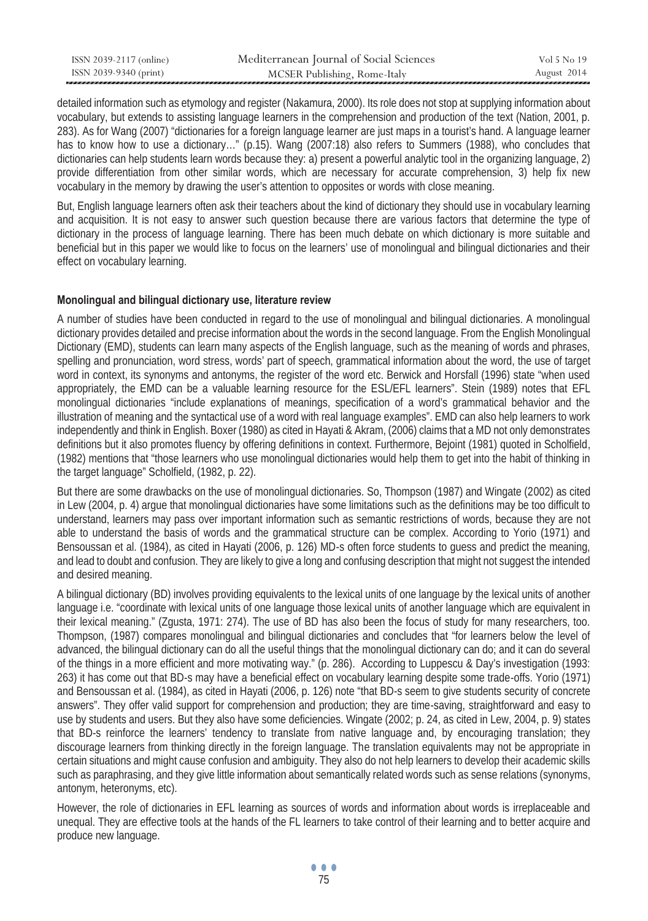| ISSN 2039-2117 (online) | Mediterranean Journal of Social Sciences | Vol 5 No 19 |
|-------------------------|------------------------------------------|-------------|
| ISSN 2039-9340 (print)  | MCSER Publishing, Rome-Italy             | August 2014 |

detailed information such as etymology and register (Nakamura, 2000). Its role does not stop at supplying information about vocabulary, but extends to assisting language learners in the comprehension and production of the text (Nation, 2001, p. 283). As for Wang (2007) "dictionaries for a foreign language learner are just maps in a tourist's hand. A language learner has to know how to use a dictionary…" (p.15). Wang (2007:18) also refers to Summers (1988), who concludes that dictionaries can help students learn words because they: a) present a powerful analytic tool in the organizing language, 2) provide differentiation from other similar words, which are necessary for accurate comprehension, 3) help fix new vocabulary in the memory by drawing the user's attention to opposites or words with close meaning.

But, English language learners often ask their teachers about the kind of dictionary they should use in vocabulary learning and acquisition. It is not easy to answer such question because there are various factors that determine the type of dictionary in the process of language learning. There has been much debate on which dictionary is more suitable and beneficial but in this paper we would like to focus on the learners' use of monolingual and bilingual dictionaries and their effect on vocabulary learning.

### **Monolingual and bilingual dictionary use, literature review**

A number of studies have been conducted in regard to the use of monolingual and bilingual dictionaries. A monolingual dictionary provides detailed and precise information about the words in the second language. From the English Monolingual Dictionary (EMD), students can learn many aspects of the English language, such as the meaning of words and phrases, spelling and pronunciation, word stress, words' part of speech, grammatical information about the word, the use of target word in context, its synonyms and antonyms, the register of the word etc. Berwick and Horsfall (1996) state "when used appropriately, the EMD can be a valuable learning resource for the ESL/EFL learners". Stein (1989) notes that EFL monolingual dictionaries "include explanations of meanings, specification of a word's grammatical behavior and the illustration of meaning and the syntactical use of a word with real language examples". EMD can also help learners to work independently and think in English. Boxer (1980) as cited in Hayati & Akram, (2006) claims that a MD not only demonstrates definitions but it also promotes fluency by offering definitions in context. Furthermore, Bejoint (1981) quoted in Scholfield, (1982) mentions that "those learners who use monolingual dictionaries would help them to get into the habit of thinking in the target language" Scholfield, (1982, p. 22).

But there are some drawbacks on the use of monolingual dictionaries. So, Thompson (1987) and Wingate (2002) as cited in Lew (2004, p. 4) argue that monolingual dictionaries have some limitations such as the definitions may be too difficult to understand, learners may pass over important information such as semantic restrictions of words, because they are not able to understand the basis of words and the grammatical structure can be complex. According to Yorio (1971) and Bensoussan et al. (1984), as cited in Hayati (2006, p. 126) MD-s often force students to guess and predict the meaning, and lead to doubt and confusion. They are likely to give a long and confusing description that might not suggest the intended and desired meaning.

A bilingual dictionary (BD) involves providing equivalents to the lexical units of one language by the lexical units of another language i.e. "coordinate with lexical units of one language those lexical units of another language which are equivalent in their lexical meaning." (Zgusta, 1971: 274). The use of BD has also been the focus of study for many researchers, too. Thompson, (1987) compares monolingual and bilingual dictionaries and concludes that "for learners below the level of advanced, the bilingual dictionary can do all the useful things that the monolingual dictionary can do; and it can do several of the things in a more efficient and more motivating way." (p. 286). According to Luppescu & Day's investigation (1993: 263) it has come out that BD-s may have a beneficial effect on vocabulary learning despite some trade-offs. Yorio (1971) and Bensoussan et al. (1984), as cited in Hayati (2006, p. 126) note "that BD-s seem to give students security of concrete answers". They offer valid support for comprehension and production; they are time-saving, straightforward and easy to use by students and users. But they also have some deficiencies. Wingate (2002; p. 24, as cited in Lew, 2004, p. 9) states that BD-s reinforce the learners' tendency to translate from native language and, by encouraging translation; they discourage learners from thinking directly in the foreign language. The translation equivalents may not be appropriate in certain situations and might cause confusion and ambiguity. They also do not help learners to develop their academic skills such as paraphrasing, and they give little information about semantically related words such as sense relations (synonyms, antonym, heteronyms, etc).

However, the role of dictionaries in EFL learning as sources of words and information about words is irreplaceable and unequal. They are effective tools at the hands of the FL learners to take control of their learning and to better acquire and produce new language.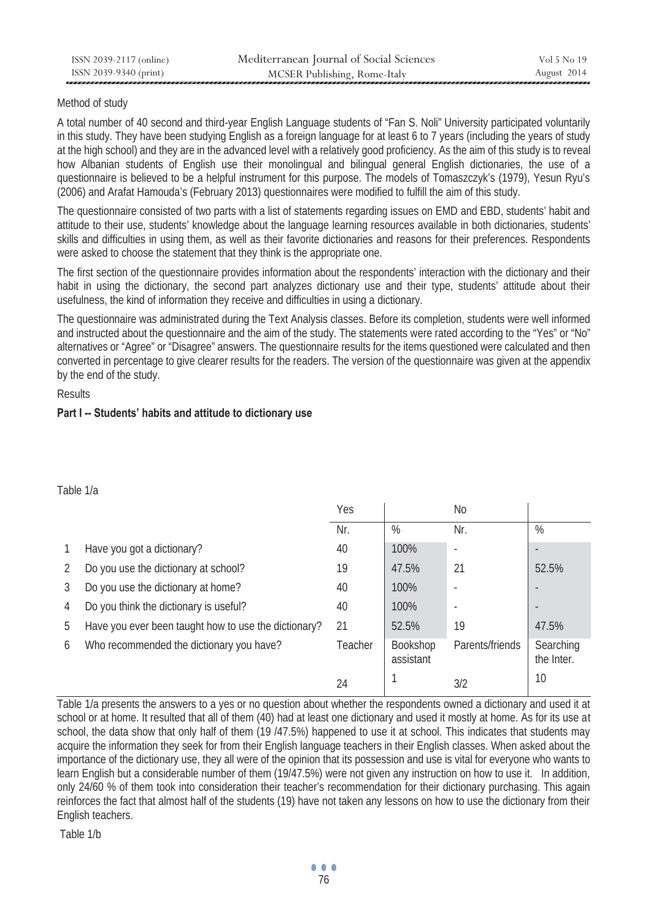### Method of study

A total number of 40 second and third-year English Language students of "Fan S. Noli" University participated voluntarily in this study. They have been studying English as a foreign language for at least 6 to 7 years (including the years of study at the high school) and they are in the advanced level with a relatively good proficiency. As the aim of this study is to reveal how Albanian students of English use their monolingual and bilingual general English dictionaries, the use of a questionnaire is believed to be a helpful instrument for this purpose. The models of Tomaszczyk's (1979), Yesun Ryu's (2006) and Arafat Hamouda's (February 2013) questionnaires were modified to fulfill the aim of this study.

The questionnaire consisted of two parts with a list of statements regarding issues on EMD and EBD, students' habit and attitude to their use, students' knowledge about the language learning resources available in both dictionaries, students' skills and difficulties in using them, as well as their favorite dictionaries and reasons for their preferences. Respondents were asked to choose the statement that they think is the appropriate one.

The first section of the questionnaire provides information about the respondents' interaction with the dictionary and their habit in using the dictionary, the second part analyzes dictionary use and their type, students' attitude about their usefulness, the kind of information they receive and difficulties in using a dictionary.

The questionnaire was administrated during the Text Analysis classes. Before its completion, students were well informed and instructed about the questionnaire and the aim of the study. The statements were rated according to the "Yes" or "No" alternatives or "Agree" or "Disagree" answers. The questionnaire results for the items questioned were calculated and then converted in percentage to give clearer results for the readers. The version of the questionnaire was given at the appendix by the end of the study.

Results

# **Part I -- Students' habits and attitude to dictionary use**

### Table 1/a

|   |                                                      | Yes     |                              | N <sub>o</sub>  |                         |
|---|------------------------------------------------------|---------|------------------------------|-----------------|-------------------------|
|   |                                                      | Nr.     | %                            | Nr.             | %                       |
|   | Have you got a dictionary?                           | 40      | 100%                         |                 |                         |
| 2 | Do you use the dictionary at school?                 | 19      | 47.5%                        | 21              | 52.5%                   |
| 3 | Do you use the dictionary at home?                   | 40      | 100%                         |                 |                         |
| 4 | Do you think the dictionary is useful?               | 40      | 100%                         |                 |                         |
| 5 | Have you ever been taught how to use the dictionary? | 21      | 52.5%                        | 19              | 47.5%                   |
| 6 | Who recommended the dictionary you have?             | Teacher | <b>Bookshop</b><br>assistant | Parents/friends | Searching<br>the Inter. |
|   |                                                      | 24      |                              | 3/2             | 10                      |

Table 1/a presents the answers to a yes or no question about whether the respondents owned a dictionary and used it at school or at home. It resulted that all of them (40) had at least one dictionary and used it mostly at home. As for its use at school, the data show that only half of them (19 /47.5%) happened to use it at school. This indicates that students may acquire the information they seek for from their English language teachers in their English classes. When asked about the importance of the dictionary use, they all were of the opinion that its possession and use is vital for everyone who wants to learn English but a considerable number of them (19/47.5%) were not given any instruction on how to use it. In addition, only 24/60 % of them took into consideration their teacher's recommendation for their dictionary purchasing. This again reinforces the fact that almost half of the students (19) have not taken any lessons on how to use the dictionary from their English teachers.

Table 1/b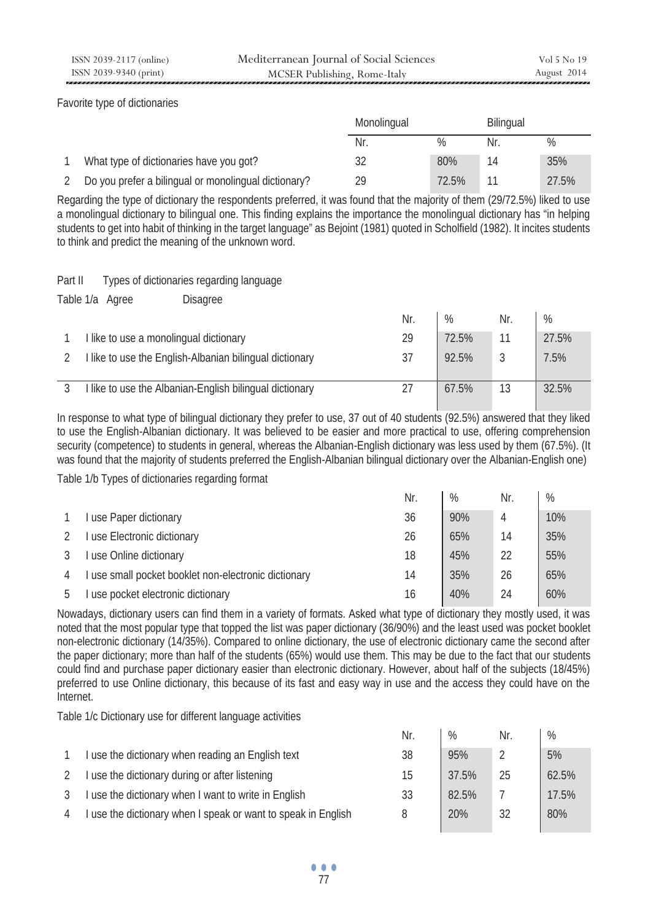Favorite type of dictionaries

|                                                      | Monolingual |       | <b>Bilingual</b> |       |
|------------------------------------------------------|-------------|-------|------------------|-------|
|                                                      | Nr.         | $\%$  | Nr               | $\%$  |
| What type of dictionaries have you got?              |             | 80%   |                  | 35%   |
| Do you prefer a bilingual or monolingual dictionary? | 29          | 72.5% |                  | 27.5% |

Regarding the type of dictionary the respondents preferred, it was found that the majority of them (29/72.5%) liked to use a monolingual dictionary to bilingual one. This finding explains the importance the monolingual dictionary has "in helping students to get into habit of thinking in the target language" as Bejoint (1981) quoted in Scholfield (1982). It incites students to think and predict the meaning of the unknown word.

Part II Types of dictionaries regarding language

Table 1/a Agree Disagree

|                                                         | Nr. | %     | Nr. | %     |
|---------------------------------------------------------|-----|-------|-----|-------|
| I like to use a monolingual dictionary                  | 29  | 72.5% |     | 27.5% |
| I like to use the English-Albanian bilingual dictionary | 37  | 92.5% |     | 7.5%  |
| I like to use the Albanian-English bilingual dictionary |     | 67.5% | 13  | 32.5% |

In response to what type of bilingual dictionary they prefer to use, 37 out of 40 students (92.5%) answered that they liked to use the English-Albanian dictionary. It was believed to be easier and more practical to use, offering comprehension security (competence) to students in general, whereas the Albanian-English dictionary was less used by them (67.5%). (It was found that the majority of students preferred the English-Albanian bilingual dictionary over the Albanian-English one)

Table 1/b Types of dictionaries regarding format

|                                                      | Nr. | $\%$ | Nr. | %   |
|------------------------------------------------------|-----|------|-----|-----|
| I use Paper dictionary                               | 36  | 90%  | 4   | 10% |
| I use Electronic dictionary                          | 26  | 65%  | 14  | 35% |
| use Online dictionary                                | 18  | 45%  | 22  | 55% |
| I use small pocket booklet non-electronic dictionary | 14  | 35%  | 26  | 65% |
| use pocket electronic dictionary                     | 16  | 40%  | 24  | 60% |

Nowadays, dictionary users can find them in a variety of formats. Asked what type of dictionary they mostly used, it was noted that the most popular type that topped the list was paper dictionary (36/90%) and the least used was pocket booklet non-electronic dictionary (14/35%). Compared to online dictionary, the use of electronic dictionary came the second after the paper dictionary; more than half of the students (65%) would use them. This may be due to the fact that our students could find and purchase paper dictionary easier than electronic dictionary. However, about half of the subjects (18/45%) preferred to use Online dictionary, this because of its fast and easy way in use and the access they could have on the Internet.

Table 1/c Dictionary use for different language activities

|   |                                                               | Nr. | $\%$  | Nr. | %     |
|---|---------------------------------------------------------------|-----|-------|-----|-------|
|   | I use the dictionary when reading an English text             | 38  | 95%   |     | 5%    |
| 2 | I use the dictionary during or after listening                | 15  | 37.5% | 25  | 62.5% |
| 3 | I use the dictionary when I want to write in English          | 33  | 82.5% |     | 17.5% |
| 4 | I use the dictionary when I speak or want to speak in English | 8   | 20%   | 32  | 80%   |
|   |                                                               |     |       |     |       |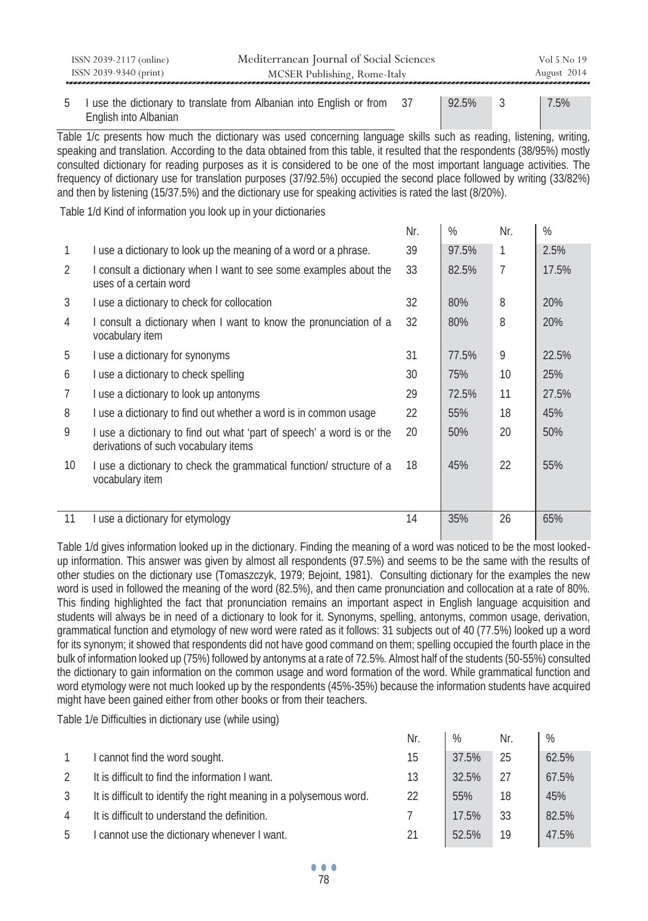|                | ISSN 2039-2117 (online)<br>ISSN 2039-9340 (print)                                                                                                                                                                                                                                                                                                                                                                                                                                                                                                                                                                   | Mediterranean Journal of Social Sciences<br>MCSER Publishing, Rome-Italy |     |       |                | Vol 5 No 19<br>August 2014 |  |  |  |
|----------------|---------------------------------------------------------------------------------------------------------------------------------------------------------------------------------------------------------------------------------------------------------------------------------------------------------------------------------------------------------------------------------------------------------------------------------------------------------------------------------------------------------------------------------------------------------------------------------------------------------------------|--------------------------------------------------------------------------|-----|-------|----------------|----------------------------|--|--|--|
|                |                                                                                                                                                                                                                                                                                                                                                                                                                                                                                                                                                                                                                     |                                                                          |     |       |                |                            |  |  |  |
| 5              | English into Albanian                                                                                                                                                                                                                                                                                                                                                                                                                                                                                                                                                                                               | I use the dictionary to translate from Albanian into English or from     | 37  | 92.5% | 3              | 7.5%                       |  |  |  |
|                | Table 1/c presents how much the dictionary was used concerning language skills such as reading, listening, writing,<br>speaking and translation. According to the data obtained from this table, it resulted that the respondents (38/95%) mostly<br>consulted dictionary for reading purposes as it is considered to be one of the most important language activities. The<br>frequency of dictionary use for translation purposes (37/92.5%) occupied the second place followed by writing (33/82%)<br>and then by listening (15/37.5%) and the dictionary use for speaking activities is rated the last (8/20%). |                                                                          |     |       |                |                            |  |  |  |
|                | Table 1/d Kind of information you look up in your dictionaries                                                                                                                                                                                                                                                                                                                                                                                                                                                                                                                                                      |                                                                          | Nr. | $\%$  | Nr.            | %                          |  |  |  |
|                |                                                                                                                                                                                                                                                                                                                                                                                                                                                                                                                                                                                                                     |                                                                          |     |       |                |                            |  |  |  |
| 1              |                                                                                                                                                                                                                                                                                                                                                                                                                                                                                                                                                                                                                     | I use a dictionary to look up the meaning of a word or a phrase.         | 39  | 97.5% | 1              | 2.5%                       |  |  |  |
| $\overline{2}$ | uses of a certain word                                                                                                                                                                                                                                                                                                                                                                                                                                                                                                                                                                                              | I consult a dictionary when I want to see some examples about the        | 33  | 82.5% | $\overline{7}$ | 17.5%                      |  |  |  |
| 3              | I use a dictionary to check for collocation                                                                                                                                                                                                                                                                                                                                                                                                                                                                                                                                                                         |                                                                          | 32  | 80%   | 8              | 20%                        |  |  |  |
| $\overline{4}$ | vocabulary item                                                                                                                                                                                                                                                                                                                                                                                                                                                                                                                                                                                                     | I consult a dictionary when I want to know the pronunciation of a        | 32  | 80%   | 8              | 20%                        |  |  |  |
| 5              | I use a dictionary for synonyms                                                                                                                                                                                                                                                                                                                                                                                                                                                                                                                                                                                     |                                                                          | 31  | 77.5% | 9              | 22.5%                      |  |  |  |
| 6              | I use a dictionary to check spelling                                                                                                                                                                                                                                                                                                                                                                                                                                                                                                                                                                                |                                                                          | 30  | 75%   | 10             | 25%                        |  |  |  |
| 7              | I use a dictionary to look up antonyms                                                                                                                                                                                                                                                                                                                                                                                                                                                                                                                                                                              |                                                                          | 29  | 72.5% | 11             | 27.5%                      |  |  |  |
| 8              |                                                                                                                                                                                                                                                                                                                                                                                                                                                                                                                                                                                                                     | I use a dictionary to find out whether a word is in common usage         | 22  | 55%   | 18             | 45%                        |  |  |  |
| 9              | derivations of such vocabulary items                                                                                                                                                                                                                                                                                                                                                                                                                                                                                                                                                                                | I use a dictionary to find out what 'part of speech' a word is or the    | 20  | 50%   | 20             | 50%                        |  |  |  |
| 10             | vocabulary item                                                                                                                                                                                                                                                                                                                                                                                                                                                                                                                                                                                                     | I use a dictionary to check the grammatical function/ structure of a     | 18  | 45%   | 22             | 55%                        |  |  |  |

### 11 I use a dictionary for etymology 14 and 26 and 26 and 26 and 26 and 26 and 26 and 26 and 26 and 26 and 26 and 26 and 26 and 26 and 26 and 26 and 26 and 26 and 26 and 26 and 26 and 26 and 26 and 26 and 26 and 26 and 26 a

Table 1/d gives information looked up in the dictionary. Finding the meaning of a word was noticed to be the most lookedup information. This answer was given by almost all respondents (97.5%) and seems to be the same with the results of other studies on the dictionary use (Tomaszczyk, 1979; Bejoint, 1981). Consulting dictionary for the examples the new word is used in followed the meaning of the word (82.5%), and then came pronunciation and collocation at a rate of 80%. This finding highlighted the fact that pronunciation remains an important aspect in English language acquisition and students will always be in need of a dictionary to look for it. Synonyms, spelling, antonyms, common usage, derivation, grammatical function and etymology of new word were rated as it follows: 31 subjects out of 40 (77.5%) looked up a word for its synonym; it showed that respondents did not have good command on them; spelling occupied the fourth place in the bulk of information looked up (75%) followed by antonyms at a rate of 72.5%. Almost half of the students (50-55%) consulted the dictionary to gain information on the common usage and word formation of the word. While grammatical function and word etymology were not much looked up by the respondents (45%-35%) because the information students have acquired might have been gained either from other books or from their teachers.

Table 1/e Difficulties in dictionary use (while using)

|    |                                                                     | Nr. | %     | Nr. | $\%$  |
|----|---------------------------------------------------------------------|-----|-------|-----|-------|
|    | I cannot find the word sought.                                      | 15  | 37.5% | 25  | 62.5% |
|    | It is difficult to find the information I want.                     | 13  | 32.5% | 27  | 67.5% |
|    | It is difficult to identify the right meaning in a polysemous word. | 22  | 55%   | 18  | 45%   |
| 4  | It is difficult to understand the definition.                       |     | 17.5% | 33  | 82.5% |
| -5 | I cannot use the dictionary whenever I want.                        | 21  | 52.5% | 19  | 47.5% |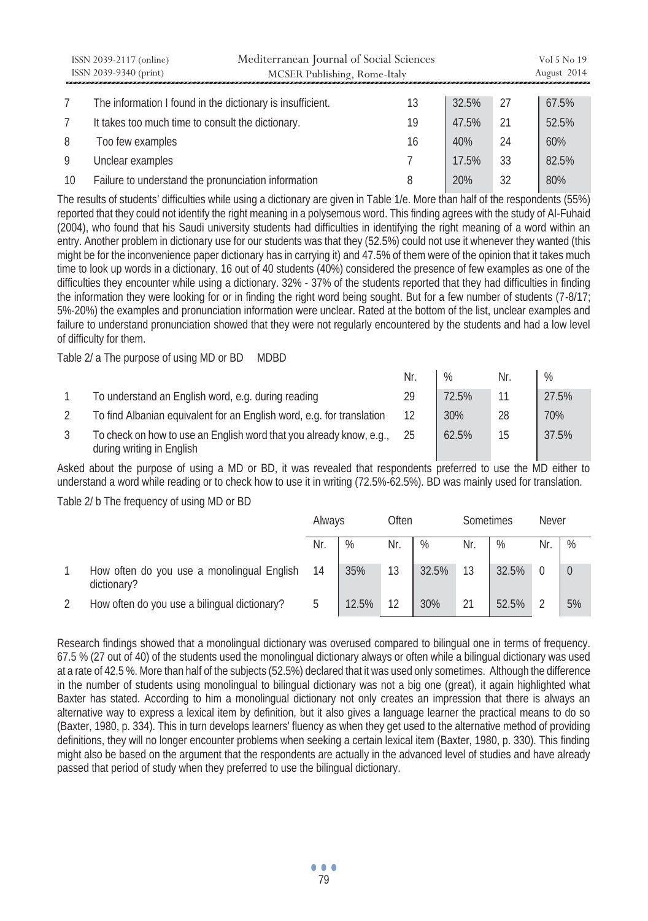|    | ISSN 2039-2117 (online)<br>ISSN 2039-9340 (print)          | Mediterranean Journal of Social Sciences<br>MCSER Publishing, Rome-Italy |    |       |    | Vol 5 No 19<br>August 2014 |
|----|------------------------------------------------------------|--------------------------------------------------------------------------|----|-------|----|----------------------------|
|    |                                                            |                                                                          |    |       |    |                            |
|    | The information I found in the dictionary is insufficient. |                                                                          | 13 | 32.5% | 27 | 67.5%                      |
|    | It takes too much time to consult the dictionary.          |                                                                          | 19 | 47.5% | 21 | 52.5%                      |
| 8  | Too few examples                                           |                                                                          | 16 | 40%   | 24 | 60%                        |
| 9  | Unclear examples                                           |                                                                          |    | 17.5% | 33 | 82.5%                      |
| 10 | Failure to understand the pronunciation information        |                                                                          |    | 20%   | 32 | 80%                        |

The results of students' difficulties while using a dictionary are given in Table 1/e. More than half of the respondents (55%) reported that they could not identify the right meaning in a polysemous word. This finding agrees with the study of Al-Fuhaid (2004), who found that his Saudi university students had difficulties in identifying the right meaning of a word within an entry. Another problem in dictionary use for our students was that they (52.5%) could not use it whenever they wanted (this might be for the inconvenience paper dictionary has in carrying it) and 47.5% of them were of the opinion that it takes much time to look up words in a dictionary. 16 out of 40 students (40%) considered the presence of few examples as one of the difficulties they encounter while using a dictionary. 32% - 37% of the students reported that they had difficulties in finding the information they were looking for or in finding the right word being sought. But for a few number of students (7-8/17; 5%-20%) the examples and pronunciation information were unclear. Rated at the bottom of the list, unclear examples and failure to understand pronunciation showed that they were not regularly encountered by the students and had a low level of difficulty for them.

Table 2/ a The purpose of using MD or BD MDBD

|   |                                                                                                  | Nr. | %     | Nr. | $\%$  |
|---|--------------------------------------------------------------------------------------------------|-----|-------|-----|-------|
|   | To understand an English word, e.g. during reading                                               | 29  | 72.5% |     | 27.5% |
|   | To find Albanian equivalent for an English word, e.g. for translation                            | 12  | 30%   | 28  | 70%   |
| 3 | To check on how to use an English word that you already know, e.g.,<br>during writing in English | 25  | 62.5% | 15  | 37.5% |

Asked about the purpose of using a MD or BD, it was revealed that respondents preferred to use the MD either to understand a word while reading or to check how to use it in writing (72.5%-62.5%). BD was mainly used for translation.

Table 2/ b The frequency of using MD or BD

|                                                           | Always |       | Often |       | Sometimes |       | Never         |    |
|-----------------------------------------------------------|--------|-------|-------|-------|-----------|-------|---------------|----|
|                                                           | Nr.    | %     | Nr.   | %     | Nr.       | %     | Nr            | %  |
| How often do you use a monolingual English<br>dictionary? | 14     | 35%   | 13    | 32.5% | 13        | 32.5% |               |    |
| How often do you use a bilingual dictionary?              | 5      | 12.5% | 12    | 30%   | 21        | 52.5% | $\mathcal{D}$ | 5% |

Research findings showed that a monolingual dictionary was overused compared to bilingual one in terms of frequency. 67.5 % (27 out of 40) of the students used the monolingual dictionary always or often while a bilingual dictionary was used at a rate of 42.5 %. More than half of the subjects (52.5%) declared that it was used only sometimes. Although the difference in the number of students using monolingual to bilingual dictionary was not a big one (great), it again highlighted what Baxter has stated. According to him a monolingual dictionary not only creates an impression that there is always an alternative way to express a lexical item by definition, but it also gives a language learner the practical means to do so (Baxter, 1980, p. 334). This in turn develops learners' fluency as when they get used to the alternative method of providing definitions, they will no longer encounter problems when seeking a certain lexical item (Baxter, 1980, p. 330). This finding might also be based on the argument that the respondents are actually in the advanced level of studies and have already passed that period of study when they preferred to use the bilingual dictionary.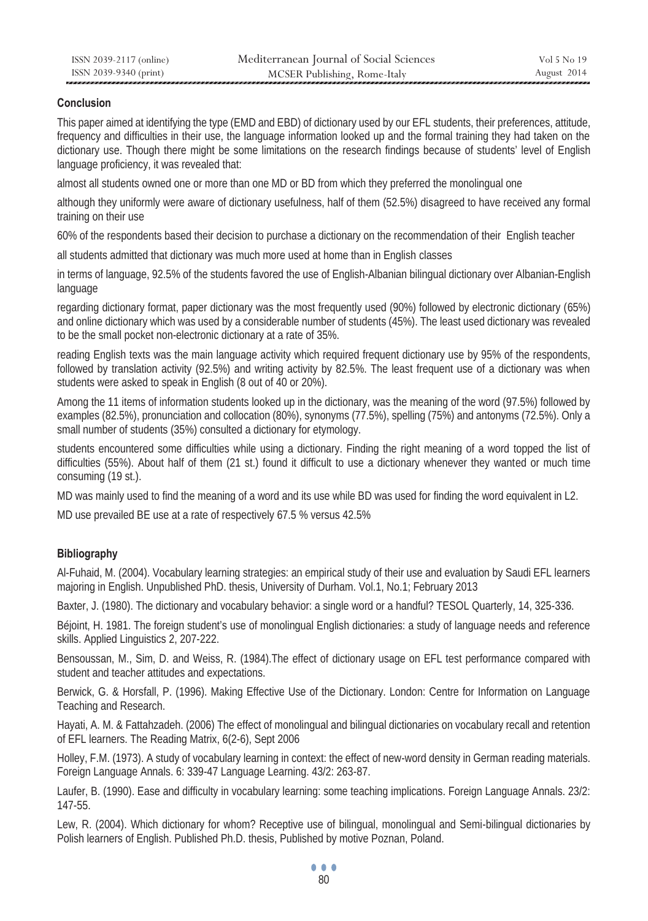## **Conclusion**

This paper aimed at identifying the type (EMD and EBD) of dictionary used by our EFL students, their preferences, attitude, frequency and difficulties in their use, the language information looked up and the formal training they had taken on the dictionary use. Though there might be some limitations on the research findings because of students' level of English language proficiency, it was revealed that:

almost all students owned one or more than one MD or BD from which they preferred the monolingual one

although they uniformly were aware of dictionary usefulness, half of them (52.5%) disagreed to have received any formal training on their use

60% of the respondents based their decision to purchase a dictionary on the recommendation of their English teacher

all students admitted that dictionary was much more used at home than in English classes

in terms of language, 92.5% of the students favored the use of English-Albanian bilingual dictionary over Albanian-English language

regarding dictionary format, paper dictionary was the most frequently used (90%) followed by electronic dictionary (65%) and online dictionary which was used by a considerable number of students (45%). The least used dictionary was revealed to be the small pocket non-electronic dictionary at a rate of 35%.

reading English texts was the main language activity which required frequent dictionary use by 95% of the respondents, followed by translation activity (92.5%) and writing activity by 82.5%. The least frequent use of a dictionary was when students were asked to speak in English (8 out of 40 or 20%).

Among the 11 items of information students looked up in the dictionary, was the meaning of the word (97.5%) followed by examples (82.5%), pronunciation and collocation (80%), synonyms (77.5%), spelling (75%) and antonyms (72.5%). Only a small number of students (35%) consulted a dictionary for etymology.

students encountered some difficulties while using a dictionary. Finding the right meaning of a word topped the list of difficulties (55%). About half of them (21 st.) found it difficult to use a dictionary whenever they wanted or much time consuming (19 st.).

MD was mainly used to find the meaning of a word and its use while BD was used for finding the word equivalent in L2.

MD use prevailed BE use at a rate of respectively 67.5 % versus 42.5%

# **Bibliography**

Al-Fuhaid, M. (2004). Vocabulary learning strategies: an empirical study of their use and evaluation by Saudi EFL learners majoring in English. Unpublished PhD. thesis, University of Durham. Vol.1, No.1; February 2013

Baxter, J. (1980). The dictionary and vocabulary behavior: a single word or a handful? TESOL Quarterly, 14, 325-336.

Béjoint, H. 1981. The foreign student's use of monolingual English dictionaries: a study of language needs and reference skills. Applied Linguistics 2, 207-222.

Bensoussan, M., Sim, D. and Weiss, R. (1984).The effect of dictionary usage on EFL test performance compared with student and teacher attitudes and expectations.

Berwick, G. & Horsfall, P. (1996). Making Effective Use of the Dictionary. London: Centre for Information on Language Teaching and Research.

Hayati, A. M. & Fattahzadeh. (2006) The effect of monolingual and bilingual dictionaries on vocabulary recall and retention of EFL learners. The Reading Matrix, 6(2-6), Sept 2006

Holley, F.M. (1973). A study of vocabulary learning in context: the effect of new-word density in German reading materials. Foreign Language Annals. 6: 339-47 Language Learning. 43/2: 263-87.

Laufer, B. (1990). Ease and difficulty in vocabulary learning: some teaching implications. Foreign Language Annals. 23/2: 147-55.

Lew, R. (2004). Which dictionary for whom? Receptive use of bilingual, monolingual and Semi-bilingual dictionaries by Polish learners of English. Published Ph.D. thesis, Published by motive Poznan, Poland.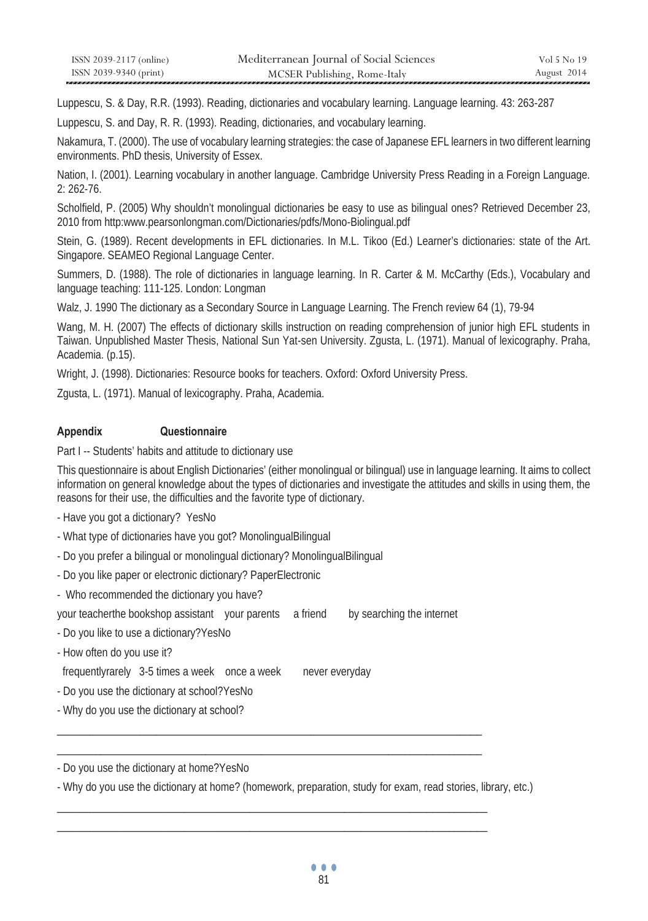| ISSN 2039-2117 (online) | Mediterranean Journal of Social Sciences | Vol 5 No 19 |
|-------------------------|------------------------------------------|-------------|
| ISSN 2039-9340 (print)  | MCSER Publishing, Rome-Italy             | August 2014 |

Luppescu, S. & Day, R.R. (1993). Reading, dictionaries and vocabulary learning. Language learning. 43: 263-287

Luppescu, S. and Day, R. R. (1993). Reading, dictionaries, and vocabulary learning.

Nakamura, T. (2000). The use of vocabulary learning strategies: the case of Japanese EFL learners in two different learning environments. PhD thesis, University of Essex.

Nation, I. (2001). Learning vocabulary in another language. Cambridge University Press Reading in a Foreign Language. 2: 262-76.

Scholfield, P. (2005) Why shouldn't monolingual dictionaries be easy to use as bilingual ones? Retrieved December 23, 2010 from http:www.pearsonlongman.com/Dictionaries/pdfs/Mono-Biolingual.pdf

Stein, G. (1989). Recent developments in EFL dictionaries. In M.L. Tikoo (Ed.) Learner's dictionaries: state of the Art. Singapore. SEAMEO Regional Language Center.

Summers, D. (1988). The role of dictionaries in language learning. In R. Carter & M. McCarthy (Eds.), Vocabulary and language teaching: 111-125. London: Longman

Walz, J. 1990 The dictionary as a Secondary Source in Language Learning. The French review 64 (1), 79-94

Wang, M. H. (2007) The effects of dictionary skills instruction on reading comprehension of junior high EFL students in Taiwan. Unpublished Master Thesis, National Sun Yat-sen University. Zgusta, L. (1971). Manual of lexicography. Praha, Academia. (p.15).

Wright, J. (1998). Dictionaries: Resource books for teachers. Oxford: Oxford University Press.

Zgusta, L. (1971). Manual of lexicography. Praha, Academia.

#### **Appendix Questionnaire**

Part I -- Students' habits and attitude to dictionary use

This questionnaire is about English Dictionaries' (either monolingual or bilingual) use in language learning. It aims to collect information on general knowledge about the types of dictionaries and investigate the attitudes and skills in using them, the reasons for their use, the difficulties and the favorite type of dictionary.

- Have you got a dictionary? YesNo
- What type of dictionaries have you got? MonolingualBilingual
- Do you prefer a bilingual or monolingual dictionary? MonolingualBilingual
- Do you like paper or electronic dictionary? PaperElectronic
- Who recommended the dictionary you have?

your teacherthe bookshop assistant your parents a friend by searching the internet

\_\_\_\_\_\_\_\_\_\_\_\_\_\_\_\_\_\_\_\_\_\_\_\_\_\_\_\_\_\_\_\_\_\_\_\_\_\_\_\_\_\_\_\_\_\_\_\_\_\_\_\_\_\_\_\_\_\_\_\_\_\_\_\_\_\_\_\_\_\_\_\_\_\_\_\_\_ \_\_\_\_\_\_\_\_\_\_\_\_\_\_\_\_\_\_\_\_\_\_\_\_\_\_\_\_\_\_\_\_\_\_\_\_\_\_\_\_\_\_\_\_\_\_\_\_\_\_\_\_\_\_\_\_\_\_\_\_\_\_\_\_\_\_\_\_\_\_\_\_\_\_\_\_\_

\_\_\_\_\_\_\_\_\_\_\_\_\_\_\_\_\_\_\_\_\_\_\_\_\_\_\_\_\_\_\_\_\_\_\_\_\_\_\_\_\_\_\_\_\_\_\_\_\_\_\_\_\_\_\_\_\_\_\_\_\_\_\_\_\_\_\_\_\_\_\_\_\_\_\_\_\_\_ \_\_\_\_\_\_\_\_\_\_\_\_\_\_\_\_\_\_\_\_\_\_\_\_\_\_\_\_\_\_\_\_\_\_\_\_\_\_\_\_\_\_\_\_\_\_\_\_\_\_\_\_\_\_\_\_\_\_\_\_\_\_\_\_\_\_\_\_\_\_\_\_\_\_\_\_\_\_

- Do you like to use a dictionary?YesNo
- How often do you use it?

frequentlyrarely 3-5 times a week once a week never everyday

- Do you use the dictionary at school?YesNo
- Why do you use the dictionary at school?

- Do you use the dictionary at home?YesNo

- Why do you use the dictionary at home? (homework, preparation, study for exam, read stories, library, etc.)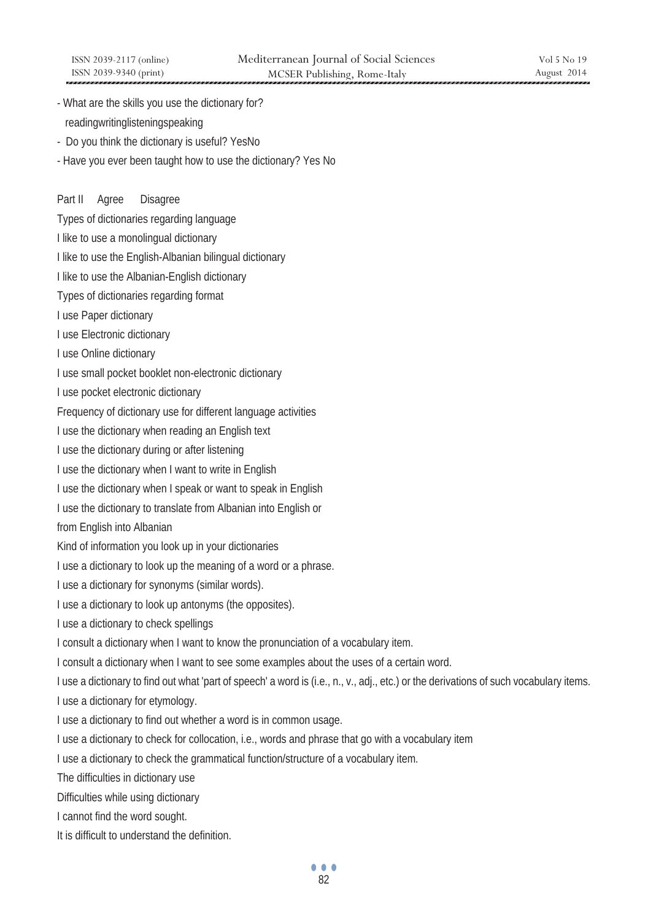- What are the skills you use the dictionary for? readingwritinglisteningspeaking
- Do you think the dictionary is useful? YesNo
- Have you ever been taught how to use the dictionary? Yes No

### Part II Agree Disagree

Types of dictionaries regarding language

- I like to use a monolingual dictionary
- I like to use the English-Albanian bilingual dictionary
- I like to use the Albanian-English dictionary
- Types of dictionaries regarding format
- I use Paper dictionary
- I use Electronic dictionary
- I use Online dictionary
- I use small pocket booklet non-electronic dictionary
- I use pocket electronic dictionary
- Frequency of dictionary use for different language activities
- I use the dictionary when reading an English text
- I use the dictionary during or after listening
- I use the dictionary when I want to write in English
- I use the dictionary when I speak or want to speak in English
- I use the dictionary to translate from Albanian into English or
- from English into Albanian
- Kind of information you look up in your dictionaries
- I use a dictionary to look up the meaning of a word or a phrase.
- I use a dictionary for synonyms (similar words).
- I use a dictionary to look up antonyms (the opposites).
- I use a dictionary to check spellings
- I consult a dictionary when I want to know the pronunciation of a vocabulary item.
- I consult a dictionary when I want to see some examples about the uses of a certain word.
- I use a dictionary to find out what 'part of speech' a word is (i.e., n., v., adj., etc.) or the derivations of such vocabulary items.
- I use a dictionary for etymology.
- I use a dictionary to find out whether a word is in common usage.
- I use a dictionary to check for collocation, i.e., words and phrase that go with a vocabulary item
- I use a dictionary to check the grammatical function/structure of a vocabulary item.
- The difficulties in dictionary use
- Difficulties while using dictionary
- I cannot find the word sought.
- It is difficult to understand the definition.

... <u>82</u>